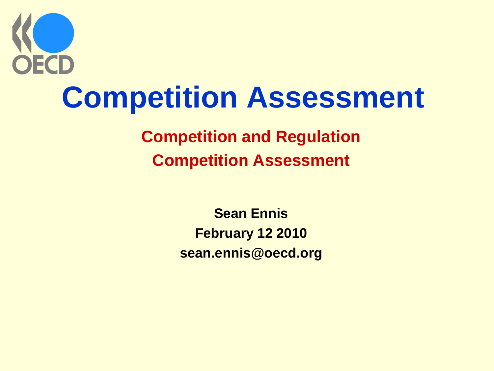

**Competition and Regulation Competition Assessment**

> **Sean Ennis February 12 2010 sean.ennis@oecd.org**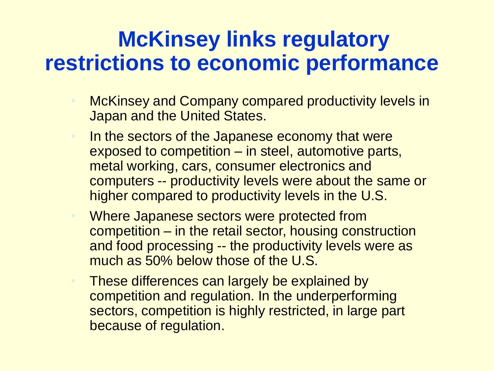## **McKinsey links regulatory restrictions to economic performance**

- McKinsey and Company compared productivity levels in Japan and the United States.
- In the sectors of the Japanese economy that were exposed to competition – in steel, automotive parts, metal working, cars, consumer electronics and computers -- productivity levels were about the same or higher compared to productivity levels in the U.S.
- Where Japanese sectors were protected from competition – in the retail sector, housing construction and food processing -- the productivity levels were as much as 50% below those of the U.S.
- These differences can largely be explained by competition and regulation. In the underperforming sectors, competition is highly restricted, in large part because of regulation.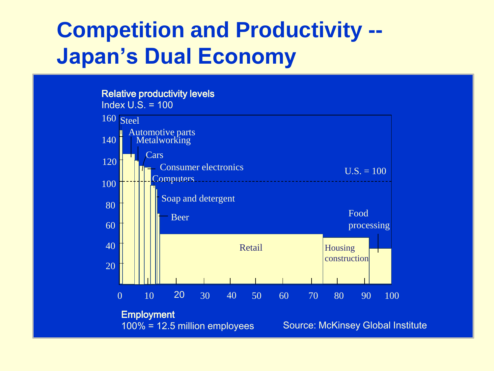## **Competition and Productivity -- Japan's Dual Economy**

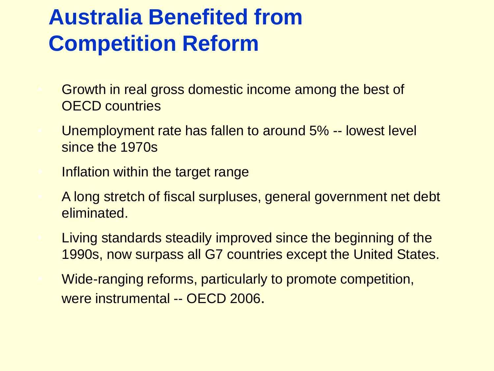## **Australia Benefited from Competition Reform**

- Growth in real gross domestic income among the best of OECD countries
- Unemployment rate has fallen to around 5% -- lowest level since the 1970s
- Inflation within the target range
- A long stretch of fiscal surpluses, general government net debt eliminated.
- Living standards steadily improved since the beginning of the 1990s, now surpass all G7 countries except the United States.
- Wide-ranging reforms, particularly to promote competition, were instrumental -- OECD 2006.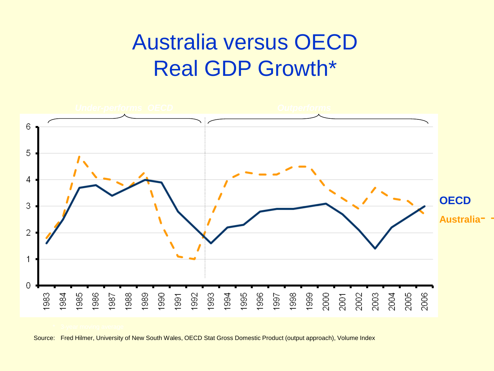## Australia versus OECD Real GDP Growth\*



Source: Fred Hilmer, University of New South Wales, OECD Stat Gross Domestic Product (output approach), Volume Index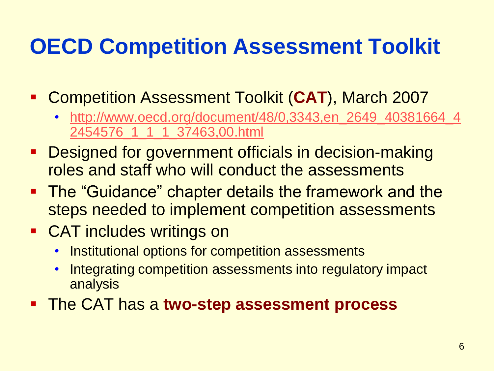## **OECD Competition Assessment Toolkit**

- Competition Assessment Toolkit (**CAT**), March 2007
	- [http://www.oecd.org/document/48/0,3343,en\\_2649\\_40381664\\_4](http://www.oecd.org/document/48/0,3343,en_2649_40381664_42454576_1_1_1_37463,00.html) [2454576\\_1\\_1\\_1\\_37463,00.html](http://www.oecd.org/document/48/0,3343,en_2649_40381664_42454576_1_1_1_37463,00.html)
- **Designed for government officials in decision-making** roles and staff who will conduct the assessments
- **The "Guidance" chapter details the framework and the** steps needed to implement competition assessments
- **CAT includes writings on** 
	- Institutional options for competition assessments
	- Integrating competition assessments into regulatory impact analysis
- The CAT has a **two-step assessment process**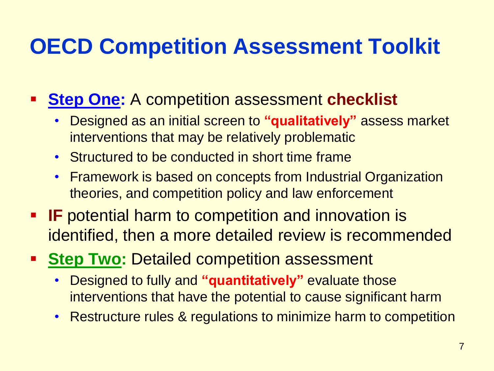## **OECD Competition Assessment Toolkit**

#### **Step One:** A competition assessment **checklist**

- Designed as an initial screen to **"qualitatively"** assess market interventions that may be relatively problematic
- Structured to be conducted in short time frame
- Framework is based on concepts from Industrial Organization theories, and competition policy and law enforcement
- **IF** potential harm to competition and innovation is identified, then a more detailed review is recommended
- **Step Two: Detailed competition assessment** 
	- Designed to fully and **"quantitatively"** evaluate those interventions that have the potential to cause significant harm
	- Restructure rules & regulations to minimize harm to competition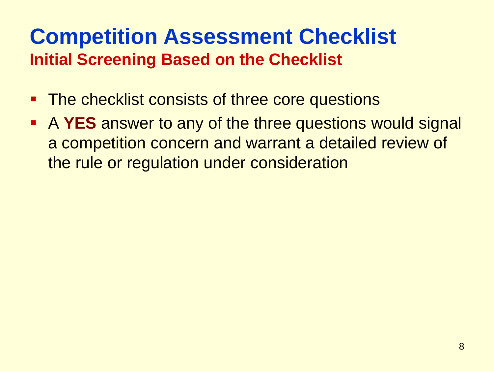## **Competition Assessment Checklist Initial Screening Based on the Checklist**

- **The checklist consists of three core questions**
- A **YES** answer to any of the three questions would signal a competition concern and warrant a detailed review of the rule or regulation under consideration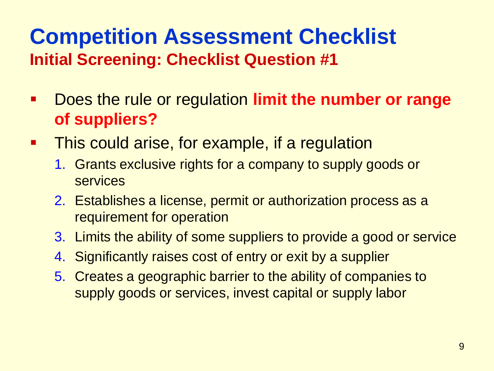## **Competition Assessment Checklist Initial Screening: Checklist Question #1**

- Does the rule or regulation **limit the number or range of suppliers?**
- **This could arise, for example, if a regulation** 
	- 1. Grants exclusive rights for a company to supply goods or services
	- 2. Establishes a license, permit or authorization process as a requirement for operation
	- 3. Limits the ability of some suppliers to provide a good or service
	- 4. Significantly raises cost of entry or exit by a supplier
	- 5. Creates a geographic barrier to the ability of companies to supply goods or services, invest capital or supply labor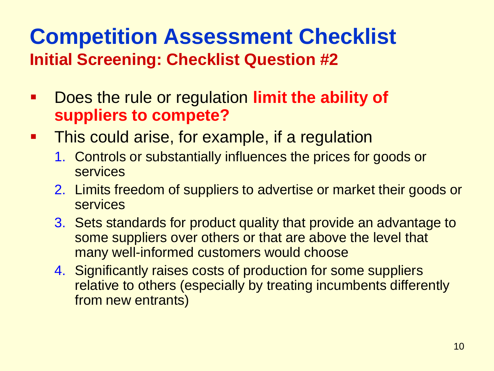#### **Competition Assessment Checklist Initial Screening: Checklist Question #2**

- **EXTE 10. Does the rule or regulation limit the ability of suppliers to compete?**
- **This could arise, for example, if a regulation** 
	- 1. Controls or substantially influences the prices for goods or services
	- 2. Limits freedom of suppliers to advertise or market their goods or services
	- 3. Sets standards for product quality that provide an advantage to some suppliers over others or that are above the level that many well-informed customers would choose
	- 4. Significantly raises costs of production for some suppliers relative to others (especially by treating incumbents differently from new entrants)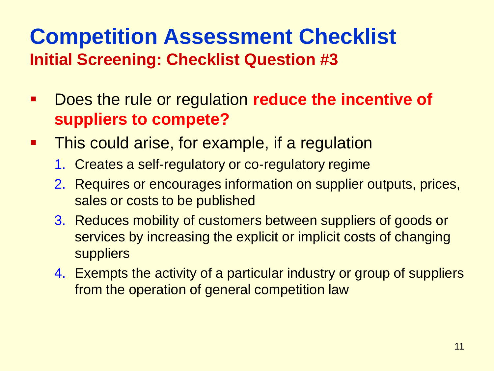## **Competition Assessment Checklist Initial Screening: Checklist Question #3**

- Does the rule or regulation **reduce the incentive of suppliers to compete?**
- **This could arise, for example, if a regulation** 
	- 1. Creates a self-regulatory or co-regulatory regime
	- 2. Requires or encourages information on supplier outputs, prices, sales or costs to be published
	- 3. Reduces mobility of customers between suppliers of goods or services by increasing the explicit or implicit costs of changing suppliers
	- 4. Exempts the activity of a particular industry or group of suppliers from the operation of general competition law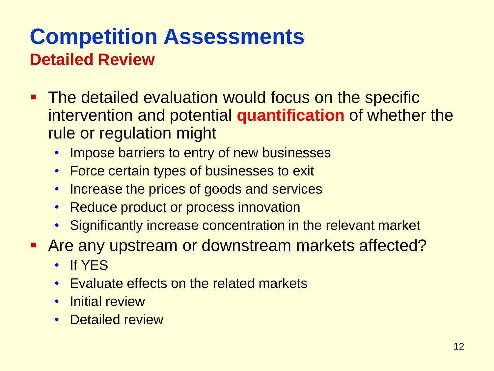## **Competition Assessments Detailed Review**

- **The detailed evaluation would focus on the specific** intervention and potential **quantification** of whether the rule or regulation might
	- Impose barriers to entry of new businesses
	- Force certain types of businesses to exit
	- Increase the prices of goods and services
	- Reduce product or process innovation
	- Significantly increase concentration in the relevant market
- Are any upstream or downstream markets affected?
	- If YES
	- Evaluate effects on the related markets
	- Initial review
	- Detailed review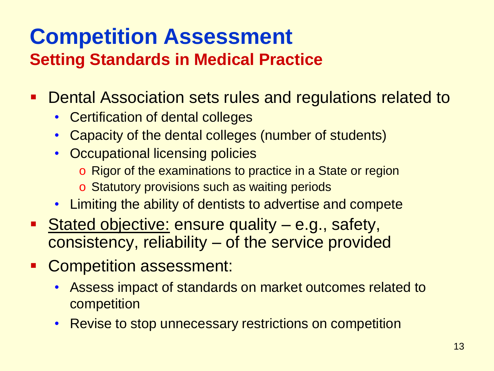- **Dental Association sets rules and regulations related to** 
	- Certification of dental colleges
	- Capacity of the dental colleges (number of students)
	- Occupational licensing policies
		- o Rigor of the examinations to practice in a State or region
		- o Statutory provisions such as waiting periods
	- Limiting the ability of dentists to advertise and compete
- **Stated objective: ensure quality e.g., safety,** consistency, reliability – of the service provided
- **Competition assessment:** 
	- Assess impact of standards on market outcomes related to competition
	- Revise to stop unnecessary restrictions on competition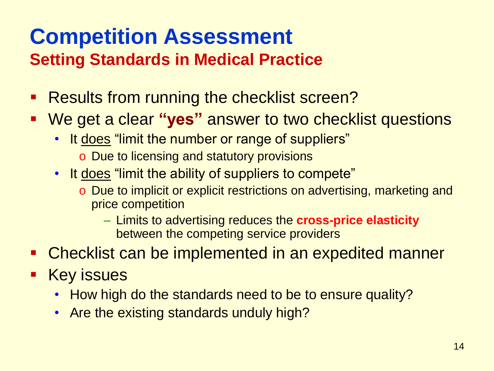- **Results from running the checklist screen?**
- We get a clear **"yes"** answer to two checklist questions
	- It does "limit the number or range of suppliers" o Due to licensing and statutory provisions
	- It does "limit the ability of suppliers to compete"
		- o Due to implicit or explicit restrictions on advertising, marketing and price competition
			- Limits to advertising reduces the **cross-price elasticity** between the competing service providers
- Checklist can be implemented in an expedited manner
- Key issues
	- How high do the standards need to be to ensure quality?
	- Are the existing standards unduly high?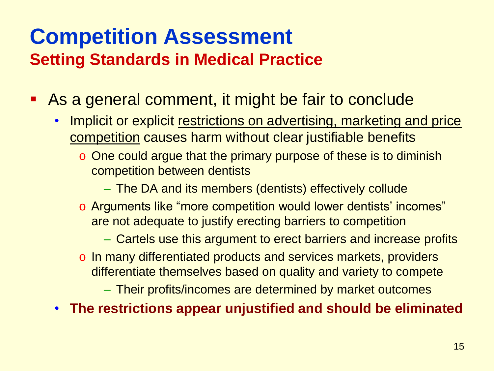- As a general comment, it might be fair to conclude
	- Implicit or explicit restrictions on advertising, marketing and price competition causes harm without clear justifiable benefits
		- o One could argue that the primary purpose of these is to diminish competition between dentists
			- The DA and its members (dentists) effectively collude
		- o Arguments like "more competition would lower dentists' incomes" are not adequate to justify erecting barriers to competition
			- Cartels use this argument to erect barriers and increase profits
		- o In many differentiated products and services markets, providers differentiate themselves based on quality and variety to compete
			- Their profits/incomes are determined by market outcomes
	- **The restrictions appear unjustified and should be eliminated**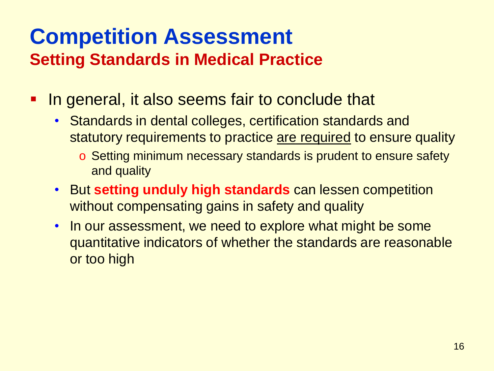- **If also seems fair to conclude that** 
	- Standards in dental colleges, certification standards and statutory requirements to practice are required to ensure quality
		- o Setting minimum necessary standards is prudent to ensure safety and quality
	- But **setting unduly high standards** can lessen competition without compensating gains in safety and quality
	- In our assessment, we need to explore what might be some quantitative indicators of whether the standards are reasonable or too high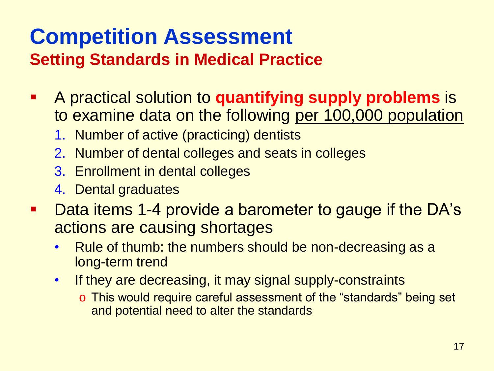# **Competition Assessment**

#### **Setting Standards in Medical Practice**

- A practical solution to **quantifying supply problems** is to examine data on the following per 100,000 population
	- 1. Number of active (practicing) dentists
	- 2. Number of dental colleges and seats in colleges
	- 3. Enrollment in dental colleges
	- 4. Dental graduates
- Data items 1-4 provide a barometer to gauge if the DA's actions are causing shortages
	- Rule of thumb: the numbers should be non-decreasing as a long-term trend
	- If they are decreasing, it may signal supply-constraints
		- o This would require careful assessment of the "standards" being set and potential need to alter the standards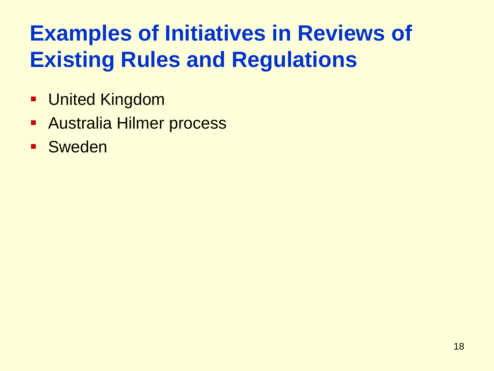# **Examples of Initiatives in Reviews of Existing Rules and Regulations**

- **United Kingdom**
- **Australia Hilmer process**
- **Sweden**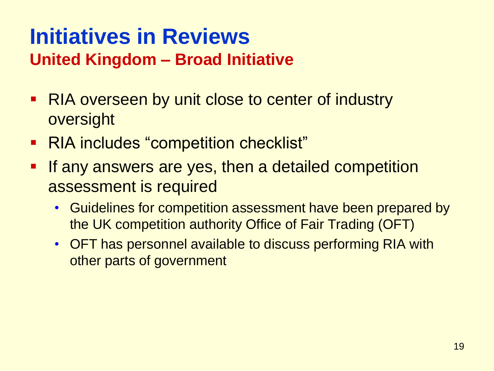### **Initiatives in Reviews United Kingdom – Broad Initiative**

- RIA overseen by unit close to center of industry oversight
- RIA includes "competition checklist"
- **If any answers are yes, then a detailed competition** assessment is required
	- Guidelines for competition assessment have been prepared by the UK competition authority Office of Fair Trading (OFT)
	- OFT has personnel available to discuss performing RIA with other parts of government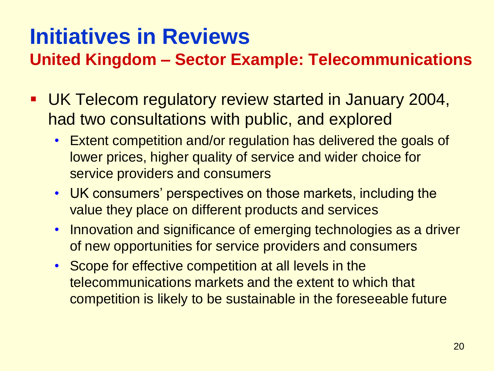**United Kingdom – Sector Example: Telecommunications**

- UK Telecom regulatory review started in January 2004, had two consultations with public, and explored
	- Extent competition and/or regulation has delivered the goals of lower prices, higher quality of service and wider choice for service providers and consumers
	- UK consumers' perspectives on those markets, including the value they place on different products and services
	- Innovation and significance of emerging technologies as a driver of new opportunities for service providers and consumers
	- Scope for effective competition at all levels in the telecommunications markets and the extent to which that competition is likely to be sustainable in the foreseeable future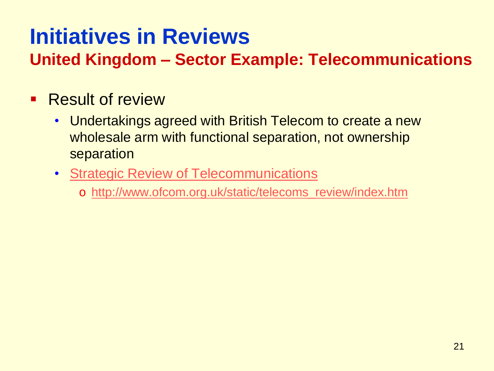**United Kingdom – Sector Example: Telecommunications**

#### **Result of review**

- Undertakings agreed with British Telecom to create a new wholesale arm with functional separation, not ownership separation
- [Strategic Review of Telecommunications](http://www.ofcom.org.uk/static/telecoms_review/index.htm)
	- o [http://www.ofcom.org.uk/static/telecoms\\_review/index.htm](http://www.ofcom.org.uk/static/telecoms_review/index.htm)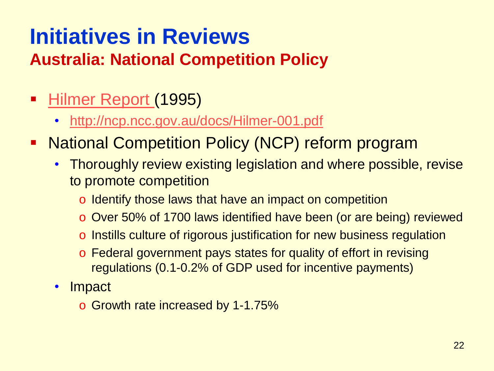## **Australia: National Competition Policy**

- [Hilmer Report](http://ncp.ncc.gov.au/docs/Hilmer-001.pdf) (1995)
	- <http://ncp.ncc.gov.au/docs/Hilmer-001.pdf>
- National Competition Policy (NCP) reform program
	- Thoroughly review existing legislation and where possible, revise to promote competition
		- o Identify those laws that have an impact on competition
		- o Over 50% of 1700 laws identified have been (or are being) reviewed
		- o Instills culture of rigorous justification for new business regulation
		- o Federal government pays states for quality of effort in revising regulations (0.1-0.2% of GDP used for incentive payments)
	- Impact
		- o Growth rate increased by 1-1.75%